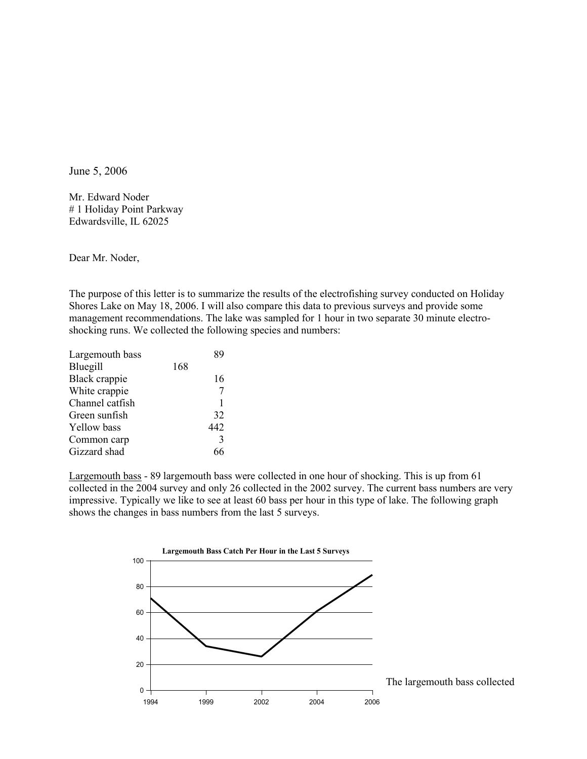June 5, 2006

Mr. Edward Noder # 1 Holiday Point Parkway Edwardsville, IL 62025

Dear Mr. Noder,

The purpose of this letter is to summarize the results of the electrofishing survey conducted on Holiday Shores Lake on May 18, 2006. I will also compare this data to previous surveys and provide some management recommendations. The lake was sampled for 1 hour in two separate 30 minute electroshocking runs. We collected the following species and numbers:

| Largemouth bass    |     | 8q  |
|--------------------|-----|-----|
| Bluegill           | 168 |     |
| Black crappie      |     | 16  |
| White crappie      |     |     |
| Channel catfish    |     |     |
| Green sunfish      |     | 32  |
| <b>Yellow</b> bass |     | 442 |
| Common carp        |     | 3   |
| Gizzard shad       |     | 66  |
|                    |     |     |

Largemouth bass - 89 largemouth bass were collected in one hour of shocking. This is up from 61 collected in the 2004 survey and only 26 collected in the 2002 survey. The current bass numbers are very impressive. Typically we like to see at least 60 bass per hour in this type of lake. The following graph shows the changes in bass numbers from the last 5 surveys.

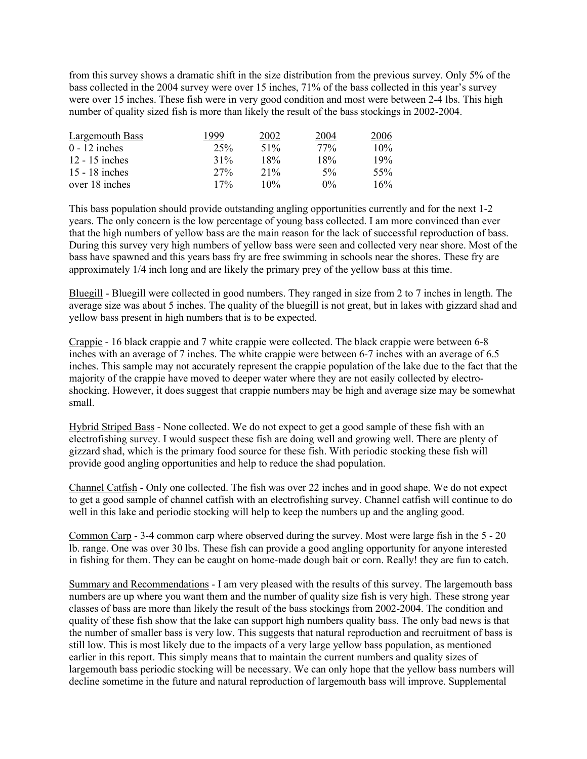from this survey shows a dramatic shift in the size distribution from the previous survey. Only 5% of the bass collected in the 2004 survey were over 15 inches, 71% of the bass collected in this year's survey were over 15 inches. These fish were in very good condition and most were between 2-4 lbs. This high number of quality sized fish is more than likely the result of the bass stockings in 2002-2004.

| Largemouth Bass  | 999    | 2002   | 2004   | 2006 |
|------------------|--------|--------|--------|------|
| $0 - 12$ inches  | 25%    | 51%    | $77\%$ | 10%  |
| $12 - 15$ inches | 31%    | 18%    | 18%    | 19%  |
| 15 - 18 inches   | $27\%$ | $21\%$ | $5\%$  | 55%  |
| over 18 inches   | 17%    | 10%    | $0\%$  | 16%  |

This bass population should provide outstanding angling opportunities currently and for the next 1-2 years. The only concern is the low percentage of young bass collected. I am more convinced than ever that the high numbers of yellow bass are the main reason for the lack of successful reproduction of bass. During this survey very high numbers of yellow bass were seen and collected very near shore. Most of the bass have spawned and this years bass fry are free swimming in schools near the shores. These fry are approximately 1/4 inch long and are likely the primary prey of the yellow bass at this time.

Bluegill - Bluegill were collected in good numbers. They ranged in size from 2 to 7 inches in length. The average size was about 5 inches. The quality of the bluegill is not great, but in lakes with gizzard shad and yellow bass present in high numbers that is to be expected.

Crappie - 16 black crappie and 7 white crappie were collected. The black crappie were between 6-8 inches with an average of 7 inches. The white crappie were between 6-7 inches with an average of 6.5 inches. This sample may not accurately represent the crappie population of the lake due to the fact that the majority of the crappie have moved to deeper water where they are not easily collected by electroshocking. However, it does suggest that crappie numbers may be high and average size may be somewhat small.

Hybrid Striped Bass - None collected. We do not expect to get a good sample of these fish with an electrofishing survey. I would suspect these fish are doing well and growing well. There are plenty of gizzard shad, which is the primary food source for these fish. With periodic stocking these fish will provide good angling opportunities and help to reduce the shad population.

Channel Catfish - Only one collected. The fish was over 22 inches and in good shape. We do not expect to get a good sample of channel catfish with an electrofishing survey. Channel catfish will continue to do well in this lake and periodic stocking will help to keep the numbers up and the angling good.

Common Carp - 3-4 common carp where observed during the survey. Most were large fish in the 5 - 20 lb. range. One was over 30 lbs. These fish can provide a good angling opportunity for anyone interested in fishing for them. They can be caught on home-made dough bait or corn. Really! they are fun to catch.

Summary and Recommendations - I am very pleased with the results of this survey. The largemouth bass numbers are up where you want them and the number of quality size fish is very high. These strong year classes of bass are more than likely the result of the bass stockings from 2002-2004. The condition and quality of these fish show that the lake can support high numbers quality bass. The only bad news is that the number of smaller bass is very low. This suggests that natural reproduction and recruitment of bass is still low. This is most likely due to the impacts of a very large yellow bass population, as mentioned earlier in this report. This simply means that to maintain the current numbers and quality sizes of largemouth bass periodic stocking will be necessary. We can only hope that the yellow bass numbers will decline sometime in the future and natural reproduction of largemouth bass will improve. Supplemental